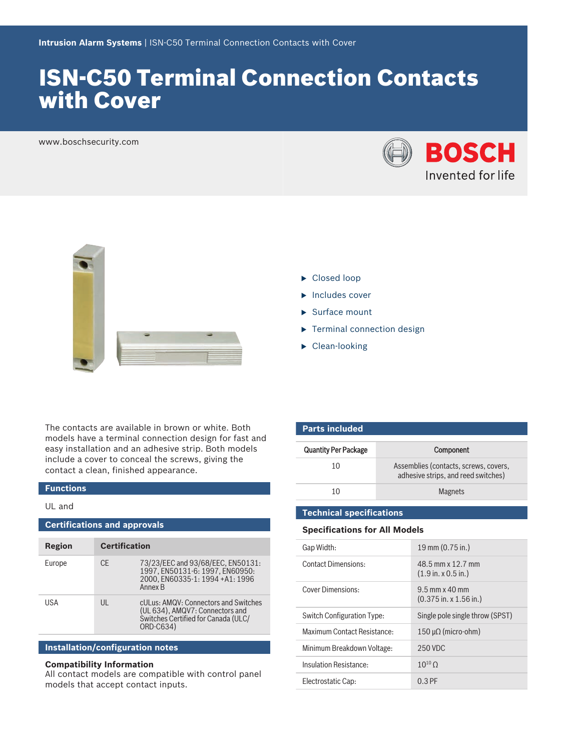# ISN‑C50 Terminal Connection Contacts with Cover

www.boschsecurity.com





- $\blacktriangleright$  Closed loop
- $\blacktriangleright$  Includes cover
- $\blacktriangleright$  Surface mount
- $\blacktriangleright$  Terminal connection design
- $\blacktriangleright$  Clean-looking

The contacts are available in brown or white. Both models have a terminal connection design for fast and easy installation and an adhesive strip. Both models include a cover to conceal the screws, giving the contact a clean, finished appearance.

#### **Functions**

### UL and

| <b>Certifications and approvals</b> |                      |                                                                                                                               |  |  |
|-------------------------------------|----------------------|-------------------------------------------------------------------------------------------------------------------------------|--|--|
| Region                              | <b>Certification</b> |                                                                                                                               |  |  |
| Europe                              | CF.                  | 73/23/EEC and 93/68/EEC, EN50131:<br>1997, EN50131-6: 1997, EN60950:<br>2000. EN60335-1: 1994 +A1: 1996<br>Annex <sub>B</sub> |  |  |
| USA                                 | $\mathsf{III}$       | cULus: AMQV: Connectors and Switches<br>(UL 634), AMQV7: Connectors and<br>Switches Certified for Canada (ULC/<br>ORD-C634)   |  |  |

## **Installation/configuration notes**

### **Compatibility Information**

All contact models are compatible with control panel models that accept contact inputs.

| <b>Parts included</b>       |                                                                              |  |  |
|-----------------------------|------------------------------------------------------------------------------|--|--|
| <b>Quantity Per Package</b> | Component                                                                    |  |  |
| 10                          | Assemblies (contacts, screws, covers,<br>adhesive strips, and reed switches) |  |  |
| 10                          | <b>Magnets</b>                                                               |  |  |

### **Technical specifications**

### **Specifications for All Models**

| Gap Width:                  | 19 mm (0.75 in.)                                                |
|-----------------------------|-----------------------------------------------------------------|
| <b>Contact Dimensions:</b>  | 48.5 mm x 12.7 mm<br>$(1.9 \text{ in. x } 0.5 \text{ in.})$     |
| Cover Dimensions:           | $9.5$ mm x $40$ mm<br>$(0.375 \text{ in. x } 1.56 \text{ in.})$ |
| Switch Configuration Type:  | Single pole single throw (SPST)                                 |
| Maximum Contact Resistance: | $150 \mu\Omega$ (micro-ohm)                                     |
| Minimum Breakdown Voltage:  | 250 VDC                                                         |
| Insulation Resistance:      | $10^{10}$ O                                                     |
| Electrostatic Cap:          | $0.3$ PF                                                        |